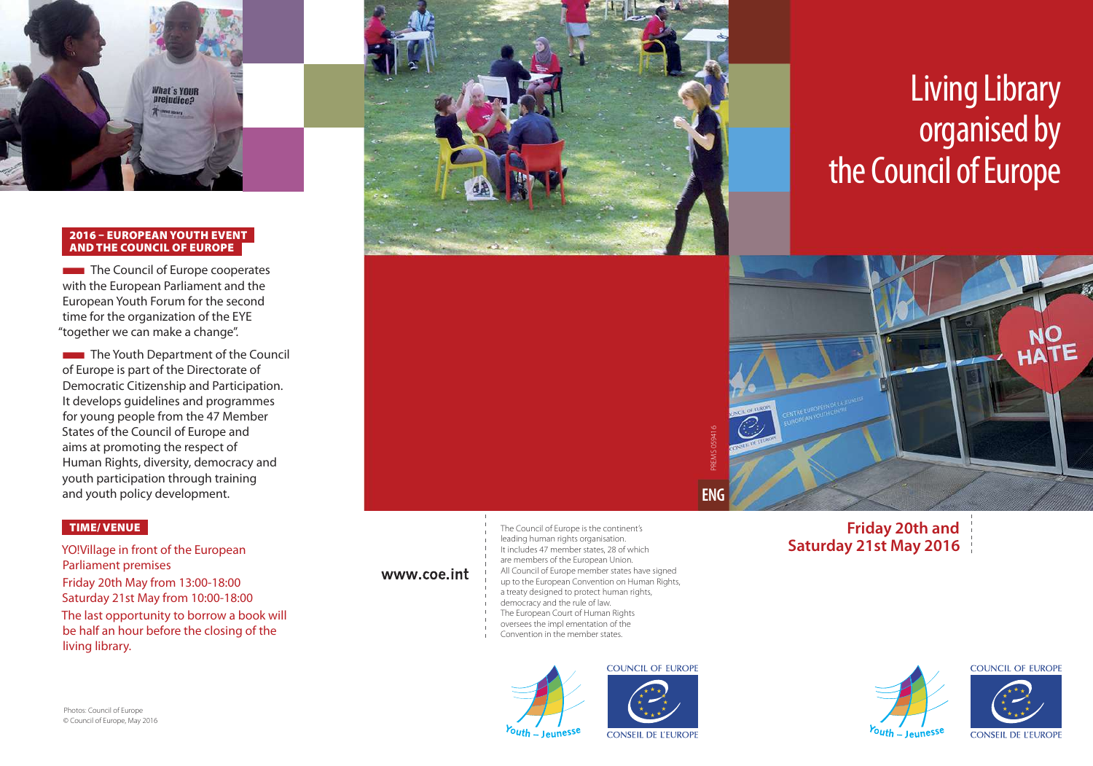

#### 2016 – EUROPEAN YOUTH EVENT AND THE COUNCIL OF EUROPE

**The Council of Europe cooperates** with the European Parliament and the European Youth Forum for the second time for the organization of the EYE "together we can make a change".

**The Youth Department of the Council** of Europe is part of the Directorate of Democratic Citizenship and Participation. It develops guidelines and programmes for young people from the 47 Member States of the Council of Europe and aims at promoting the respect of Human Rights, diversity, democracy and youth participation through training and youth policy development.

#### TIME/ VENUE

YO!Village in front of the European Parliament premises Friday 20th May from 13:00-18:00 Saturday 21st May from 10:00-18:00 The last opportunity to borrow a book will be half an hour before the closing of the living library.



#### www.coe.int

The Council of Europe is the continent's leading human rights organisation. It includes 47 member states, 28 of which are members of the European Union. All Council of Europe member states have signed up to the European Convention on Human Rights, a treaty designed to protect human rights, democracy and the rule of law. The European Court of Human Rights oversees the impl ementation of the Convention in the member states.





**ENG** 

# Living Library organised by the Council of Europe



### **Friday 20th and Saturday 21st May 2016**

Photos: Council of Europe © Council of Europe, May 2016